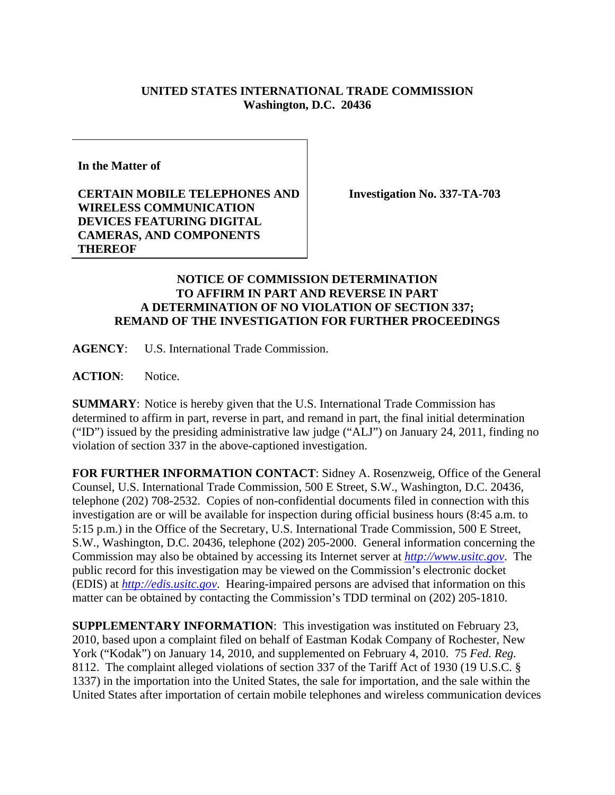## **UNITED STATES INTERNATIONAL TRADE COMMISSION Washington, D.C. 20436**

**In the Matter of** 

## **CERTAIN MOBILE TELEPHONES AND WIRELESS COMMUNICATION DEVICES FEATURING DIGITAL CAMERAS, AND COMPONENTS THEREOF**

**Investigation No. 337-TA-703** 

## **NOTICE OF COMMISSION DETERMINATION TO AFFIRM IN PART AND REVERSE IN PART A DETERMINATION OF NO VIOLATION OF SECTION 337; REMAND OF THE INVESTIGATION FOR FURTHER PROCEEDINGS**

**AGENCY**: U.S. International Trade Commission.

**ACTION**: Notice.

**SUMMARY**: Notice is hereby given that the U.S. International Trade Commission has determined to affirm in part, reverse in part, and remand in part, the final initial determination ("ID") issued by the presiding administrative law judge ("ALJ") on January 24, 2011, finding no violation of section 337 in the above-captioned investigation.

**FOR FURTHER INFORMATION CONTACT**: Sidney A. Rosenzweig, Office of the General Counsel, U.S. International Trade Commission, 500 E Street, S.W., Washington, D.C. 20436, telephone (202) 708-2532. Copies of non-confidential documents filed in connection with this investigation are or will be available for inspection during official business hours (8:45 a.m. to 5:15 p.m.) in the Office of the Secretary, U.S. International Trade Commission, 500 E Street, S.W., Washington, D.C. 20436, telephone (202) 205-2000. General information concerning the Commission may also be obtained by accessing its Internet server at *http://www.usitc.gov*. The public record for this investigation may be viewed on the Commission's electronic docket (EDIS) at *http://edis.usitc.gov*. Hearing-impaired persons are advised that information on this matter can be obtained by contacting the Commission's TDD terminal on (202) 205-1810.

**SUPPLEMENTARY INFORMATION**: This investigation was instituted on February 23, 2010, based upon a complaint filed on behalf of Eastman Kodak Company of Rochester, New York ("Kodak") on January 14, 2010, and supplemented on February 4, 2010. 75 *Fed. Reg.*  8112. The complaint alleged violations of section 337 of the Tariff Act of 1930 (19 U.S.C. § 1337) in the importation into the United States, the sale for importation, and the sale within the United States after importation of certain mobile telephones and wireless communication devices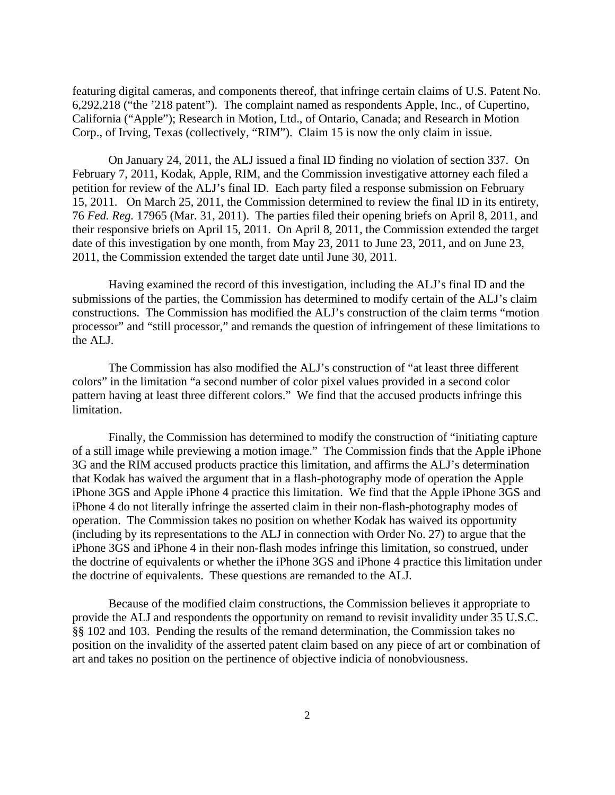featuring digital cameras, and components thereof, that infringe certain claims of U.S. Patent No. 6,292,218 ("the '218 patent"). The complaint named as respondents Apple, Inc., of Cupertino, California ("Apple"); Research in Motion, Ltd., of Ontario, Canada; and Research in Motion Corp., of Irving, Texas (collectively, "RIM"). Claim 15 is now the only claim in issue.

On January 24, 2011, the ALJ issued a final ID finding no violation of section 337. On February 7, 2011, Kodak, Apple, RIM, and the Commission investigative attorney each filed a petition for review of the ALJ's final ID. Each party filed a response submission on February 15, 2011. On March 25, 2011, the Commission determined to review the final ID in its entirety, 76 *Fed. Reg.* 17965 (Mar. 31, 2011). The parties filed their opening briefs on April 8, 2011, and their responsive briefs on April 15, 2011. On April 8, 2011, the Commission extended the target date of this investigation by one month, from May 23, 2011 to June 23, 2011, and on June 23, 2011, the Commission extended the target date until June 30, 2011.

Having examined the record of this investigation, including the ALJ's final ID and the submissions of the parties, the Commission has determined to modify certain of the ALJ's claim constructions. The Commission has modified the ALJ's construction of the claim terms "motion processor" and "still processor," and remands the question of infringement of these limitations to the ALJ.

The Commission has also modified the ALJ's construction of "at least three different colors" in the limitation "a second number of color pixel values provided in a second color pattern having at least three different colors." We find that the accused products infringe this limitation.

Finally, the Commission has determined to modify the construction of "initiating capture of a still image while previewing a motion image." The Commission finds that the Apple iPhone 3G and the RIM accused products practice this limitation, and affirms the ALJ's determination that Kodak has waived the argument that in a flash-photography mode of operation the Apple iPhone 3GS and Apple iPhone 4 practice this limitation. We find that the Apple iPhone 3GS and iPhone 4 do not literally infringe the asserted claim in their non-flash-photography modes of operation. The Commission takes no position on whether Kodak has waived its opportunity (including by its representations to the ALJ in connection with Order No. 27) to argue that the iPhone 3GS and iPhone 4 in their non-flash modes infringe this limitation, so construed, under the doctrine of equivalents or whether the iPhone 3GS and iPhone 4 practice this limitation under the doctrine of equivalents. These questions are remanded to the ALJ.

Because of the modified claim constructions, the Commission believes it appropriate to provide the ALJ and respondents the opportunity on remand to revisit invalidity under 35 U.S.C. §§ 102 and 103. Pending the results of the remand determination, the Commission takes no position on the invalidity of the asserted patent claim based on any piece of art or combination of art and takes no position on the pertinence of objective indicia of nonobviousness.